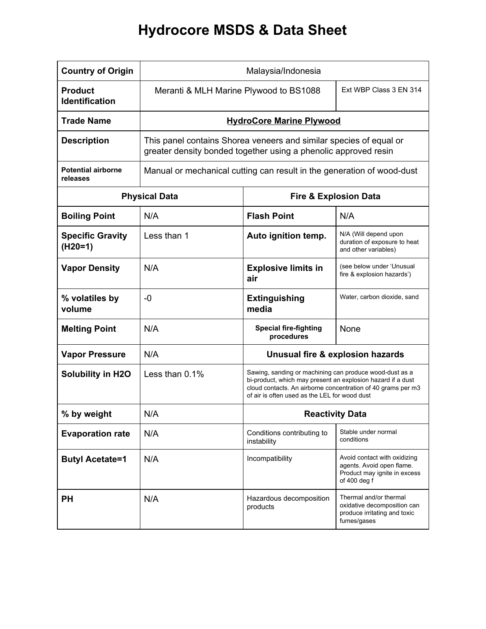## **Hydrocore MSDS & Data Sheet**

| <b>Country of Origin</b>                | Malaysia/Indonesia                                                                                                                    |                                                                                                                                                                                                                                         |                                                                                                           |
|-----------------------------------------|---------------------------------------------------------------------------------------------------------------------------------------|-----------------------------------------------------------------------------------------------------------------------------------------------------------------------------------------------------------------------------------------|-----------------------------------------------------------------------------------------------------------|
| <b>Product</b><br><b>Identification</b> | Meranti & MLH Marine Plywood to BS1088                                                                                                |                                                                                                                                                                                                                                         | Ext WBP Class 3 EN 314                                                                                    |
| <b>Trade Name</b>                       | <b>HydroCore Marine Plywood</b>                                                                                                       |                                                                                                                                                                                                                                         |                                                                                                           |
| <b>Description</b>                      | This panel contains Shorea veneers and similar species of equal or<br>greater density bonded together using a phenolic approved resin |                                                                                                                                                                                                                                         |                                                                                                           |
| <b>Potential airborne</b><br>releases   | Manual or mechanical cutting can result in the generation of wood-dust                                                                |                                                                                                                                                                                                                                         |                                                                                                           |
| <b>Physical Data</b>                    |                                                                                                                                       | <b>Fire &amp; Explosion Data</b>                                                                                                                                                                                                        |                                                                                                           |
| <b>Boiling Point</b>                    | N/A                                                                                                                                   | <b>Flash Point</b>                                                                                                                                                                                                                      | N/A                                                                                                       |
| <b>Specific Gravity</b><br>$(H20=1)$    | Less than 1                                                                                                                           | Auto ignition temp.                                                                                                                                                                                                                     | N/A (Will depend upon<br>duration of exposure to heat<br>and other variables)                             |
| <b>Vapor Density</b>                    | N/A                                                                                                                                   | <b>Explosive limits in</b><br>air                                                                                                                                                                                                       | (see below under 'Unusual<br>fire & explosion hazards')                                                   |
| % volatiles by<br>volume                | -0                                                                                                                                    | <b>Extinguishing</b><br>media                                                                                                                                                                                                           | Water, carbon dioxide, sand                                                                               |
| <b>Melting Point</b>                    | N/A                                                                                                                                   | <b>Special fire-fighting</b><br>procedures                                                                                                                                                                                              | None                                                                                                      |
| <b>Vapor Pressure</b>                   | N/A                                                                                                                                   | Unusual fire & explosion hazards                                                                                                                                                                                                        |                                                                                                           |
| <b>Solubility in H2O</b>                | Less than 0.1%                                                                                                                        | Sawing, sanding or machining can produce wood-dust as a<br>bi-product, which may present an explosion hazard if a dust<br>cloud contacts. An airborne concentration of 40 grams per m3<br>of air is often used as the LEL for wood dust |                                                                                                           |
| % by weight                             | N/A                                                                                                                                   | <b>Reactivity Data</b>                                                                                                                                                                                                                  |                                                                                                           |
| <b>Evaporation rate</b>                 | N/A                                                                                                                                   | Conditions contributing to<br>instability                                                                                                                                                                                               | Stable under normal<br>conditions                                                                         |
| <b>Butyl Acetate=1</b>                  | N/A                                                                                                                                   | Incompatibility                                                                                                                                                                                                                         | Avoid contact with oxidizing<br>agents. Avoid open flame.<br>Product may ignite in excess<br>of 400 deg f |
| <b>PH</b>                               | N/A                                                                                                                                   | Hazardous decomposition<br>products                                                                                                                                                                                                     | Thermal and/or thermal<br>oxidative decomposition can<br>produce irritating and toxic<br>fumes/gases      |